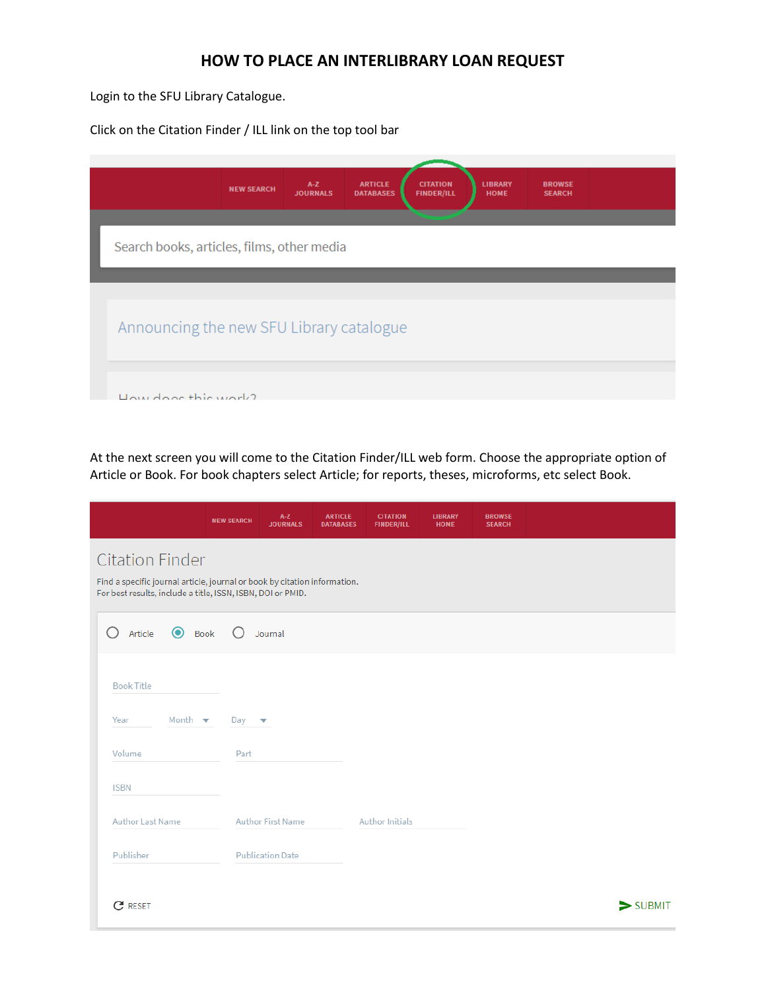## **HOW TO PLACE AN INTERLIBRARY LOAN REQUEST**

Login to the SFU Library Catalogue.

Click on the Citation Finder / ILL link on the top tool bar

| <b>CITATION</b><br><b>ARTICLE</b><br>$A-Z$<br><b>LIBRARY</b><br><b>BROWSE</b><br><b>NEW SEARCH</b><br><b>JOURNALS</b><br><b>DATABASES</b><br><b>FINDER/ILL</b><br><b>HOME</b><br><b>SEARCH</b> |  |
|------------------------------------------------------------------------------------------------------------------------------------------------------------------------------------------------|--|
| Search books, articles, films, other media                                                                                                                                                     |  |
|                                                                                                                                                                                                |  |
| Announcing the new SFU Library catalogue                                                                                                                                                       |  |
| How door this work?                                                                                                                                                                            |  |

At the next screen you will come to the Citation Finder/ILL web form. Choose the appropriate option of Article or Book. For book chapters select Article; for reports, theses, microforms, etc select Book.

|                                                         | $A-Z$<br><b>NEW SEARCH</b><br><b>JOURNALS</b>                                                                                            | <b>ARTICLE</b><br><b>CITATION</b><br><b>FINDER/ILL</b><br><b>DATABASES</b> | <b>LIBRARY</b><br><b>HOME</b> | <b>BROWSE</b><br><b>SEARCH</b> |                              |  |  |  |
|---------------------------------------------------------|------------------------------------------------------------------------------------------------------------------------------------------|----------------------------------------------------------------------------|-------------------------------|--------------------------------|------------------------------|--|--|--|
| <b>Citation Finder</b>                                  | Find a specific journal article, journal or book by citation information.<br>For best results, include a title, ISSN, ISBN, DOI or PMID. |                                                                            |                               |                                |                              |  |  |  |
| $\bullet$<br>Ω<br>Article<br>Book                       | Journal                                                                                                                                  |                                                                            |                               |                                |                              |  |  |  |
| <b>Book Title</b><br>Month $\blacktriangledown$<br>Year | Day<br>$\overline{\mathbf{v}}$                                                                                                           |                                                                            |                               |                                |                              |  |  |  |
| Volume                                                  | Part                                                                                                                                     |                                                                            |                               |                                |                              |  |  |  |
| <b>ISBN</b>                                             |                                                                                                                                          |                                                                            |                               |                                |                              |  |  |  |
| Author Last Name                                        | Author First Name                                                                                                                        | Author Initials                                                            |                               |                                |                              |  |  |  |
| Publisher                                               | <b>Publication Date</b>                                                                                                                  |                                                                            |                               |                                |                              |  |  |  |
| C<br><b>RESET</b>                                       |                                                                                                                                          |                                                                            |                               |                                | $\blacktriangleright$ SUBMIT |  |  |  |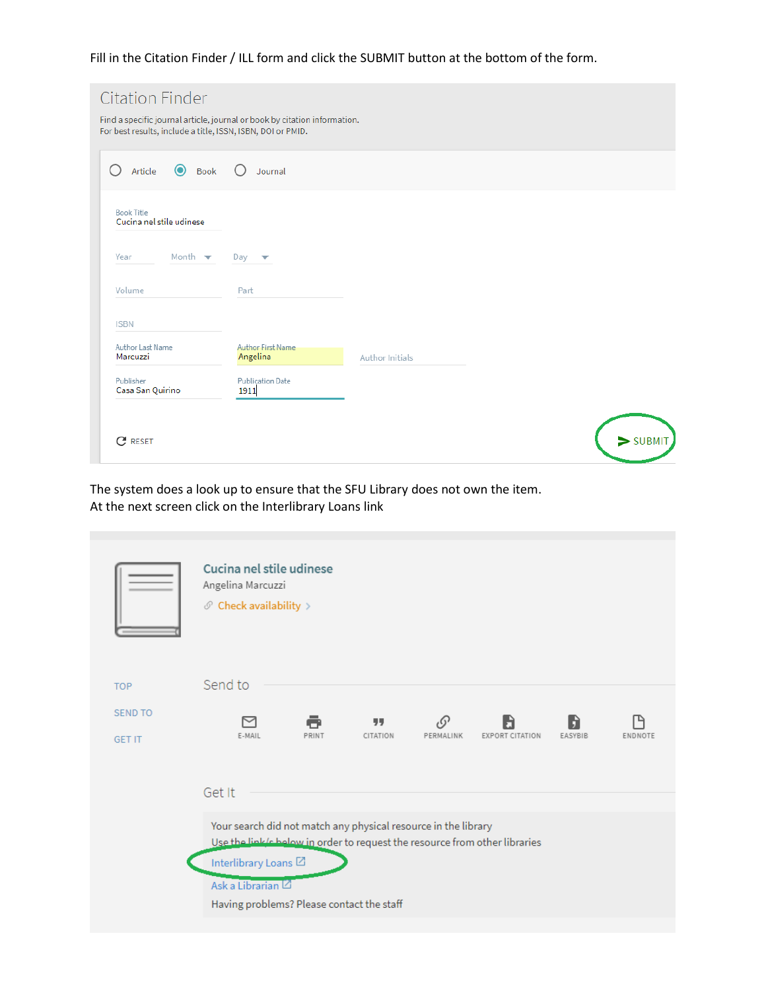Fill in the Citation Finder / ILL form and click the SUBMIT button at the bottom of the form.

| <b>Citation Finder</b><br>Find a specific journal article, journal or book by citation information.<br>For best results, include a title, ISSN, ISBN, DOI or PMID. |                                      |                 |            |
|--------------------------------------------------------------------------------------------------------------------------------------------------------------------|--------------------------------------|-----------------|------------|
| <b>O</b> Book<br>Article                                                                                                                                           | $\bigcirc$<br>Journal                |                 |            |
| <b>Book Title</b><br>Cucina nel stile udinese                                                                                                                      |                                      |                 |            |
| Month $\blacktriangledown$<br>Year                                                                                                                                 | Day<br>▽                             |                 |            |
| Volume                                                                                                                                                             | Part                                 |                 |            |
| <b>ISBN</b>                                                                                                                                                        |                                      |                 |            |
| Author Last Name<br>Marcuzzi                                                                                                                                       | <b>Author First Name</b><br>Angelina | Author Initials |            |
| Publisher<br>Casa San Quirino                                                                                                                                      | <b>Publication Date</b><br>1911      |                 |            |
| C<br><b>RESET</b>                                                                                                                                                  |                                      |                 | $>$ SUBMIT |

The system does a look up to ensure that the SFU Library does not own the item. At the next screen click on the Interlibrary Loans link

|                | Cucina nel stile udinese<br>Angelina Marcuzzi<br>$\mathcal O$ Check availability $>$<br>Send to                                                                                                        |       |          |            |                        |         |         |
|----------------|--------------------------------------------------------------------------------------------------------------------------------------------------------------------------------------------------------|-------|----------|------------|------------------------|---------|---------|
| <b>TOP</b>     |                                                                                                                                                                                                        |       |          |            |                        |         |         |
| <b>SEND TO</b> |                                                                                                                                                                                                        | ē     | 99       | $\sqrt{2}$ |                        | H       |         |
| <b>GET IT</b>  | E-MAIL<br>Get It                                                                                                                                                                                       | PRINT | CITATION | PERMALINK  | <b>EXPORT CITATION</b> | EASYBIB | ENDNOTE |
|                |                                                                                                                                                                                                        |       |          |            |                        |         |         |
|                | Your search did not match any physical resource in the library<br>Use the link/c helow in order to request the resource from other libraries<br>Interlibrary Loans <sup>[2]</sup><br>Ask a Librarian L |       |          |            |                        |         |         |
|                | Having problems? Please contact the staff                                                                                                                                                              |       |          |            |                        |         |         |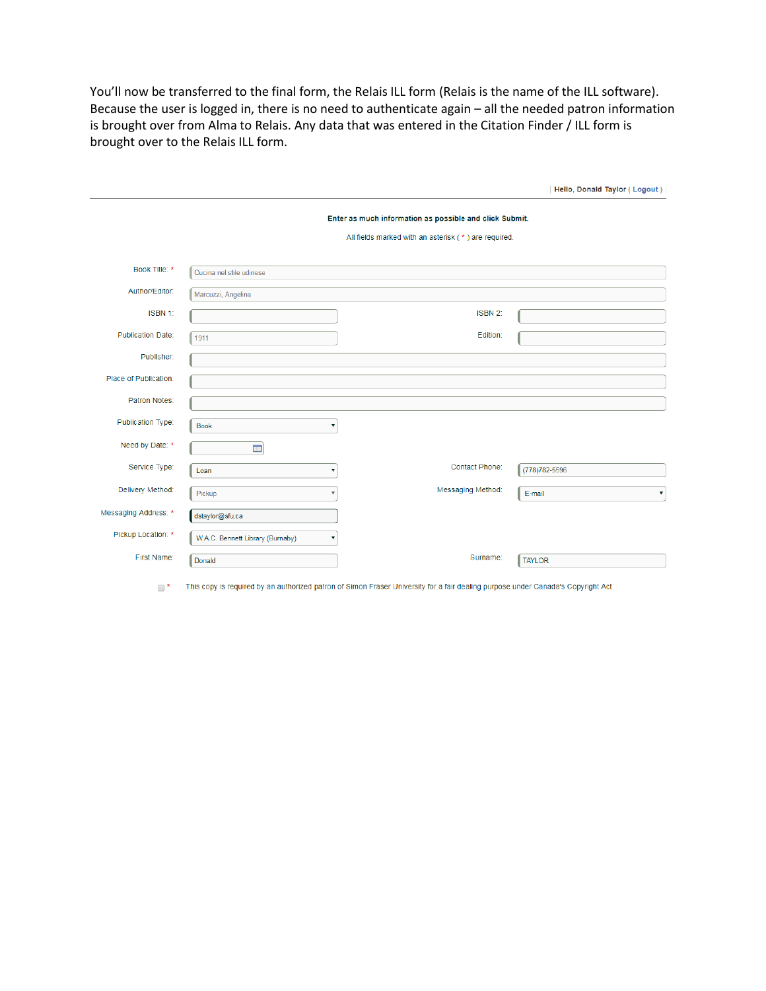You'll now be transferred to the final form, the Relais ILL form (Relais is the name of the ILL software). Because the user is logged in, there is no need to authenticate again – all the needed patron information is brought over from Alma to Relais. Any data that was entered in the Citation Finder / ILL form is brought over to the Relais ILL form.

|                          |                                       |                                                                                                                 | Hello, Donald Taylor (Logout) |
|--------------------------|---------------------------------------|-----------------------------------------------------------------------------------------------------------------|-------------------------------|
|                          |                                       | Enter as much information as possible and click Submit.<br>All fields marked with an asterisk (*) are required. |                               |
| Book Title: *            | Cucina nel stile udinese              |                                                                                                                 |                               |
| Author/Editor:           | Marcuzzi, Angelina                    |                                                                                                                 |                               |
| ISBN 1:                  |                                       | ISBN 2:                                                                                                         |                               |
| <b>Publication Date:</b> | 1911                                  | Edition:                                                                                                        |                               |
| Publisher:               |                                       |                                                                                                                 |                               |
| Place of Publication:    |                                       |                                                                                                                 |                               |
| Patron Notes:            |                                       |                                                                                                                 |                               |
| Publication Type:        | <b>Book</b><br>▼                      |                                                                                                                 |                               |
| Need by Date: *          | $\overline{\phantom{a}}$              |                                                                                                                 |                               |
| Service Type:            | Loan<br>$\mathbf v$                   | <b>Contact Phone:</b>                                                                                           | (778) 782-5596                |
| Delivery Method:         | Pickup<br>$\overline{\mathbf{v}}$     | Messaging Method:                                                                                               | E-mail<br>▼                   |
| Messaging Address: *     | dstaylor@sfu.ca                       |                                                                                                                 |                               |
| Pickup Location: *       | W.A.C. Bennett Library (Burnaby)<br>▼ |                                                                                                                 |                               |
| First Name:              | Donald                                | Surname:                                                                                                        | <b>TAYLOR</b>                 |

\* This copy is required by an authorized patron of Simon Fraser University for a fair dealing purpose under Canada's Copyright Act.